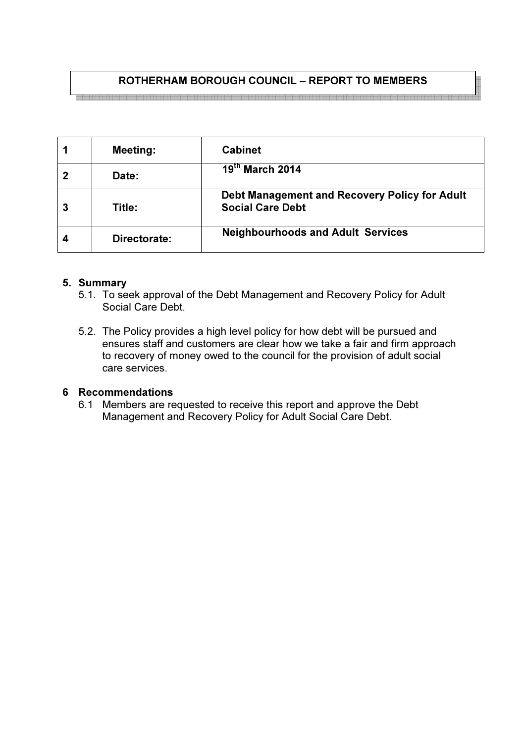# ROTHERHAM BOROUGH COUNCIL – REPORT TO MEMBERS

1 | Meeting: | Cabinet 2 Date: 19  $19<sup>th</sup>$  March 2014 3 Title: Debt Management and Recovery Policy for Adult Social Care Debt 4 Directorate: Neighbourhoods and Adult Services

# 5. Summary

- 5.1. To seek approval of the Debt Management and Recovery Policy for Adult Social Care Debt.
- 5.2. The Policy provides a high level policy for how debt will be pursued and ensures staff and customers are clear how we take a fair and firm approach to recovery of money owed to the council for the provision of adult social care services.

# 6 Recommendations

6.1 Members are requested to receive this report and approve the Debt Management and Recovery Policy for Adult Social Care Debt.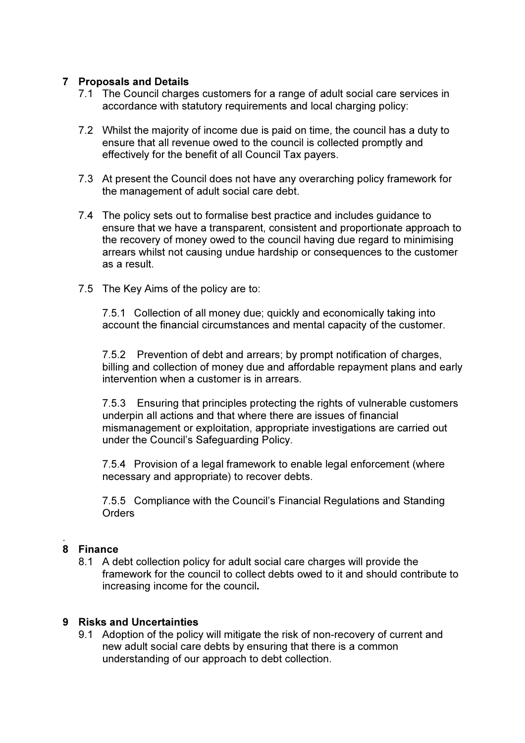### 7 Proposals and Details

- 7.1 The Council charges customers for a range of adult social care services in accordance with statutory requirements and local charging policy:
- 7.2 Whilst the majority of income due is paid on time, the council has a duty to ensure that all revenue owed to the council is collected promptly and effectively for the benefit of all Council Tax payers.
- 7.3 At present the Council does not have any overarching policy framework for the management of adult social care debt.
- 7.4 The policy sets out to formalise best practice and includes guidance to ensure that we have a transparent, consistent and proportionate approach to the recovery of money owed to the council having due regard to minimising arrears whilst not causing undue hardship or consequences to the customer as a result.
- 7.5 The Key Aims of the policy are to:

7.5.1 Collection of all money due; quickly and economically taking into account the financial circumstances and mental capacity of the customer.

7.5.2 Prevention of debt and arrears; by prompt notification of charges, billing and collection of money due and affordable repayment plans and early intervention when a customer is in arrears.

7.5.3 Ensuring that principles protecting the rights of vulnerable customers underpin all actions and that where there are issues of financial mismanagement or exploitation, appropriate investigations are carried out under the Council's Safeguarding Policy.

7.5.4 Provision of a legal framework to enable legal enforcement (where necessary and appropriate) to recover debts.

7.5.5 Compliance with the Council's Financial Regulations and Standing **Orders** 

#### . 8 Finance

8.1 A debt collection policy for adult social care charges will provide the framework for the council to collect debts owed to it and should contribute to increasing income for the council.

### 9 Risks and Uncertainties

9.1 Adoption of the policy will mitigate the risk of non-recovery of current and new adult social care debts by ensuring that there is a common understanding of our approach to debt collection.